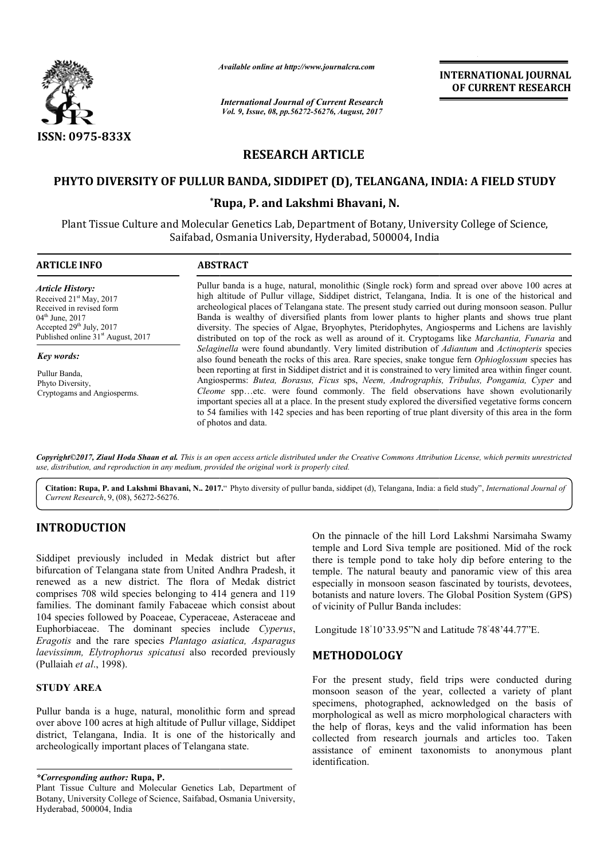

*Available online at http://www.journal http://www.journalcra.com*

# **RESEARCH ARTICLE**

## **PHYTO DIVERSITY OF PULLUR BANDA, SIDDIPET (D), TELANGANA, INDIA: A FIELD STUDY PHYTO DIVERSITY OF**

# **\*Rupa, P. and Lakshmi Bhavani, N. Rupa,**

|                                                                                                                                                                                                                                                                                                                                                                                                       | Avauabie onune at nup://www.journaicra.com                                                                                                                                                                                                                                                                                                                                                                                                                                                                                                                                                                                  |                                       | <b>INTERNATIONAL JOURNAL</b><br>OF CURRENT RESEARCH                                                                                                                                                                                                                                                                                                                                      |  |  |
|-------------------------------------------------------------------------------------------------------------------------------------------------------------------------------------------------------------------------------------------------------------------------------------------------------------------------------------------------------------------------------------------------------|-----------------------------------------------------------------------------------------------------------------------------------------------------------------------------------------------------------------------------------------------------------------------------------------------------------------------------------------------------------------------------------------------------------------------------------------------------------------------------------------------------------------------------------------------------------------------------------------------------------------------------|---------------------------------------|------------------------------------------------------------------------------------------------------------------------------------------------------------------------------------------------------------------------------------------------------------------------------------------------------------------------------------------------------------------------------------------|--|--|
|                                                                                                                                                                                                                                                                                                                                                                                                       | <b>International Journal of Current Research</b><br>Vol. 9, Issue, 08, pp.56272-56276, August, 2017                                                                                                                                                                                                                                                                                                                                                                                                                                                                                                                         |                                       |                                                                                                                                                                                                                                                                                                                                                                                          |  |  |
| ISSN: 0975-833X                                                                                                                                                                                                                                                                                                                                                                                       |                                                                                                                                                                                                                                                                                                                                                                                                                                                                                                                                                                                                                             |                                       |                                                                                                                                                                                                                                                                                                                                                                                          |  |  |
|                                                                                                                                                                                                                                                                                                                                                                                                       | <b>RESEARCH ARTICLE</b>                                                                                                                                                                                                                                                                                                                                                                                                                                                                                                                                                                                                     |                                       |                                                                                                                                                                                                                                                                                                                                                                                          |  |  |
|                                                                                                                                                                                                                                                                                                                                                                                                       |                                                                                                                                                                                                                                                                                                                                                                                                                                                                                                                                                                                                                             |                                       | PHYTO DIVERSITY OF PULLUR BANDA, SIDDIPET (D), TELANGANA, INDIA: A FIELD STUDY                                                                                                                                                                                                                                                                                                           |  |  |
|                                                                                                                                                                                                                                                                                                                                                                                                       |                                                                                                                                                                                                                                                                                                                                                                                                                                                                                                                                                                                                                             | *Rupa, P. and Lakshmi Bhavani, N.     |                                                                                                                                                                                                                                                                                                                                                                                          |  |  |
|                                                                                                                                                                                                                                                                                                                                                                                                       | Plant Tissue Culture and Molecular Genetics Lab, Department of Botany, University College of Science,<br>Saifabad, Osmania University, Hyderabad, 500004, India                                                                                                                                                                                                                                                                                                                                                                                                                                                             |                                       |                                                                                                                                                                                                                                                                                                                                                                                          |  |  |
| <b>ARTICLE INFO</b>                                                                                                                                                                                                                                                                                                                                                                                   | <b>ABSTRACT</b>                                                                                                                                                                                                                                                                                                                                                                                                                                                                                                                                                                                                             |                                       |                                                                                                                                                                                                                                                                                                                                                                                          |  |  |
| <b>Article History:</b><br>Received 21 <sup>st</sup> May, 2017<br>Received in revised form<br>04 <sup>th</sup> June, 2017<br>Accepted 29 <sup>th</sup> July, 2017<br>Published online 31 <sup>st</sup> August, 2017                                                                                                                                                                                   | Pullur banda is a huge, natural, monolithic (Single rock) form and spread over above 100 acres at<br>high altitude of Pullur village, Siddipet district, Telangana, India. It is one of the historical and<br>archeological places of Telangana state. The present study carried out during monsoon season. Pullur<br>Banda is wealthy of diversified plants from lower plants to higher plants and shows true plant<br>diversity. The species of Algae, Bryophytes, Pteridophytes, Angiosperms and Lichens are lavishly<br>distributed on top of the rock as well as around of it. Cryptogams like Marchantia, Funaria and |                                       |                                                                                                                                                                                                                                                                                                                                                                                          |  |  |
| Key words:                                                                                                                                                                                                                                                                                                                                                                                            |                                                                                                                                                                                                                                                                                                                                                                                                                                                                                                                                                                                                                             |                                       | Selaginella were found abundantly. Very limited distribution of Adiantum and Actinopteris species<br>also found beneath the rocks of this area. Rare species, snake tongue fern Ophioglossum species has                                                                                                                                                                                 |  |  |
| Pullur Banda,<br>Phyto Diversity,<br>Cryptogams and Angiosperms.                                                                                                                                                                                                                                                                                                                                      | been reporting at first in Siddipet district and it is constrained to very limited area within finger count.<br>Angiosperms: Butea, Borasus, Ficus sps, Neem, Andrographis, Tribulus, Pongamia, Cyper and<br>Cleome sppetc. were found commonly. The field observations have shown evolutionarily<br>important species all at a place. In the present study explored the diversified vegetative forms concern<br>to 54 families with 142 species and has been reporting of true plant diversity of this area in the form<br>of photos and data.                                                                             |                                       |                                                                                                                                                                                                                                                                                                                                                                                          |  |  |
| Current Research, 9, (08), 56272-56276.                                                                                                                                                                                                                                                                                                                                                               | use, distribution, and reproduction in any medium, provided the original work is properly cited.                                                                                                                                                                                                                                                                                                                                                                                                                                                                                                                            |                                       | Copyright©2017, Ziaul Hoda Shaan et al. This is an open access article distributed under the Creative Commons Attribution License, which permits unrestricted<br>Citation: Rupa, P. and Lakshmi Bhavani, N 2017." Phyto diversity of pullur banda, siddipet (d), Telangana, India: a field study", International Journal of                                                              |  |  |
|                                                                                                                                                                                                                                                                                                                                                                                                       |                                                                                                                                                                                                                                                                                                                                                                                                                                                                                                                                                                                                                             |                                       |                                                                                                                                                                                                                                                                                                                                                                                          |  |  |
| <b>INTRODUCTION</b><br>Siddipet previously included in Medak district but after<br>bifurcation of Telangana state from United Andhra Pradesh, it<br>renewed as a new district. The flora of Medak district<br>comprises 708 wild species belonging to 414 genera and 119<br>families. The dominant family Fabaceae which consist about<br>104 species followed by Poaceae, Cyperaceae, Asteraceae and |                                                                                                                                                                                                                                                                                                                                                                                                                                                                                                                                                                                                                             | of vicinity of Pullur Banda includes: | On the pinnacle of the hill Lord Lakshmi Narsimaha Swamy<br>temple and Lord Siva temple are positioned. Mid of the rock<br>there is temple pond to take holy dip before entering to the<br>temple. The natural beauty and panoramic view of this area<br>especially in monsoon season fascinated by tourists, devotees,<br>botanists and nature lovers. The Global Position System (GPS) |  |  |
| Euphorbiaceae. The dominant species include Cyperus,                                                                                                                                                                                                                                                                                                                                                  |                                                                                                                                                                                                                                                                                                                                                                                                                                                                                                                                                                                                                             |                                       | Longitude 18°10'33.95"N and Latitude 78°48'44.77"E.                                                                                                                                                                                                                                                                                                                                      |  |  |
| Eragotis and the rare species Plantago asiatica, Asparagus<br>laevissimm, Elytrophorus spicatusi also recorded previously<br>(Pullaiah et al., 1998).                                                                                                                                                                                                                                                 |                                                                                                                                                                                                                                                                                                                                                                                                                                                                                                                                                                                                                             | <b>METHODOLOGY</b>                    |                                                                                                                                                                                                                                                                                                                                                                                          |  |  |
| <b>STUDY AREA</b>                                                                                                                                                                                                                                                                                                                                                                                     |                                                                                                                                                                                                                                                                                                                                                                                                                                                                                                                                                                                                                             |                                       | For the present study, field trips were conducted during<br>monsoon season of the year, collected a variety of plant                                                                                                                                                                                                                                                                     |  |  |
| Pullur banda is a huge, natural, monolithic form and spread<br>over above 100 acres at high altitude of Pullur village, Siddipet<br>district, Telangana, India. It is one of the historically and<br>archeologically important places of Telangana state.                                                                                                                                             |                                                                                                                                                                                                                                                                                                                                                                                                                                                                                                                                                                                                                             |                                       | specimens, photographed, acknowledged on the basis of<br>morphological as well as micro morphological characters with<br>the help of floras, keys and the valid information has been<br>collected from research journals and articles too. Taken<br>assistance of eminent taxonomists to anonymous plant                                                                                 |  |  |

# **INTRODUCTION**

#### **STUDY AREA**

#### *\*Corresponding author:* **Rupa, P.**

### **METHODOLOGY**

For the present study, field trips were conducted during monsoon season of the year, collected a variety of plant specimens, photographed, acknowledged on the basis of morphological as well as micro morphological characters with the help of floras, keys and the valid information has been collected from research journals and articles too. Taken assistance of eminent taxonomists to anonymous plant identification.

Plant Tissue Culture and Molecular Genetics Lab, Department of Botany, University College of Science, Saifabad, Osmania University, Hyderabad, 500004, India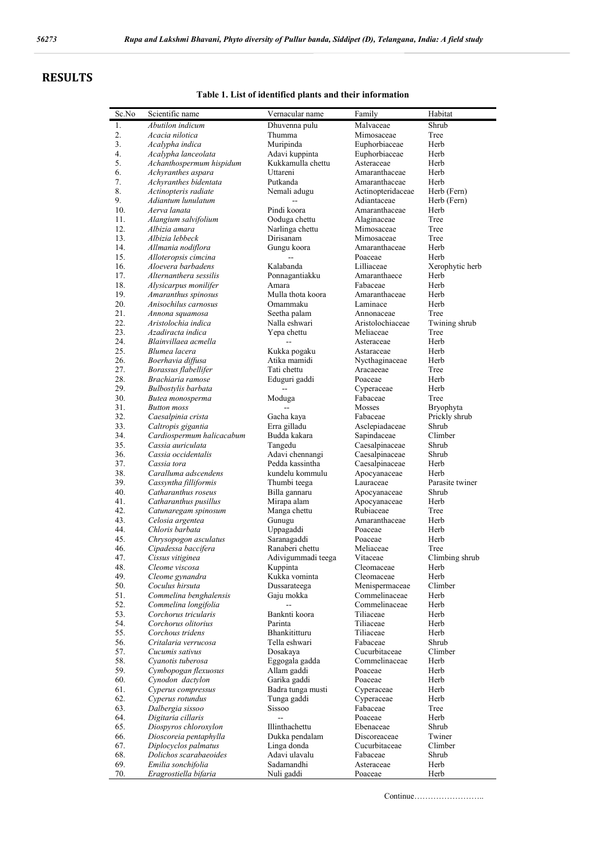# **RESULTS**

### **Table 1. List of identified plants and their information**

| Sc.No      | Scientific name                               | Vernacular name              | Family                    | Habitat          |
|------------|-----------------------------------------------|------------------------------|---------------------------|------------------|
| 1.         | Abutilon indicum                              | Dhuvenna pulu                | Malvaceae                 | Shrub            |
| 2.         | Acacia nilotica                               | Thumma                       | Mimosaceae                | Tree             |
| 3.         | Acalypha indica                               | Muripinda                    | Euphorbiaceae             | Herb             |
| 4.         | Acalypha lanceolata                           | Adavi kuppinta               | Euphorbiaceae             | Herb             |
| 5.         | Achanthospermum hispidum                      | Kukkamulla chettu            | Asteraceae                | Herb             |
| 6.         | Achyranthes aspara                            | Uttareni                     | Amaranthaceae             | Herb             |
| 7.         | Achyranthes bidentata                         | Putkanda                     | Amaranthaceae             | Herb             |
| 8.         | Actinopteris radiate                          | Nemali adugu                 | Actinopteridaceae         | Herb (Fern)      |
| 9.         | Adiantum lunulatum                            |                              | Adiantaceae               | Herb (Fern)      |
| 10.        | Aerva lanata                                  | Pindi koora                  | Amaranthaceae             | Herb             |
| 11.        | Alangium salvifolium<br>Albizia amara         | Ooduga chettu                | Alaginaceae               | Tree<br>Tree     |
| 12.<br>13. | Albizia lebbeck                               | Narlinga chettu<br>Dirisanam | Mimosaceae<br>Mimosaceae  | Tree             |
| 14.        | Allmania nodiflora                            | Gungu koora                  | Amaranthaceae             | Herb             |
| 15.        | Alloteropsis cimcina                          |                              | Poaceae                   | Herb             |
| 16.        | Aloevera barbadens                            | Kalabanda                    | Lilliaceae                | Xerophytic herb  |
| 17.        | Alternanthera sessilis                        | Ponnagantiakku               | Amaranthaece              | Herb             |
| 18.        | Alysicarpus monilifer                         | Amara                        | Fabaceae                  | Herb             |
| 19.        | Amaranthus spinosus                           | Mulla thota koora            | Amaranthaceae             | Herb             |
| 20.        | Anisochilus carnosus                          | Omammaku                     | Laminace                  | Herb             |
| 21.        | Annona squamosa                               | Seetha palam                 | Annonaceae                | Tree             |
| 22.        | Aristolochia indica                           | Nalla eshwari                | Aristolochiaceae          | Twining shrub    |
| 23.        | Azadiracta indica                             | Yepa chettu                  | Meliaceae                 | Tree             |
| 24.        | Blainvillaea acmella                          |                              | Asteraceae                | Herb             |
| 25.        | Blumea lacera                                 | Kukka pogaku                 | Astaraceae                | Herb             |
| 26.        | Boerhavia diffusa                             | Atika mamidi                 | Nycthaginaceae            | Herb             |
| 27.        | Borassus flabellifer                          | Tati chettu                  | Aracaeeae                 | Tree<br>Herb     |
| 28.<br>29. | Brachiaria ramose<br>Bulbostylis barbata      | Eduguri gaddi                | Poaceae<br>Cyperaceae     | Herb             |
| 30.        | Butea monosperma                              | Moduga                       | Fabaceae                  | Tree             |
| 31.        | <b>Button</b> moss                            |                              | Mosses                    | Bryophyta        |
| 32.        | Caesalpinia crista                            | Gacha kaya                   | Fabaceae                  | Prickly shrub    |
| 33.        | Caltropis gigantia                            | Erra gilladu                 | Asclepiadaceae            | Shrub            |
| 34.        | Cardiospermum halicacabum                     | Budda kakara                 | Sapindaceae               | Climber          |
| 35.        | Cassia auriculata                             | Tangedu                      | Caesalpinaceae            | Shrub            |
| 36.        | Cassia occidentalis                           | Adavi chennangi              | Caesalpinaceae            | Shrub            |
| 37.        | Cassia tora                                   | Pedda kassintha              | Caesalpinaceae            | Herb             |
| 38.        | Caralluma adscendens                          | kundelu kommulu              | Apocyanaceae              | Herb             |
| 39.        | Cassyntha filliformis                         | Thumbi teega                 | Lauraceae                 | Parasite twiner  |
| 40.        | Catharanthus roseus                           | Billa gannaru                | Apocyanaceae              | Shrub            |
| 41.<br>42. | Catharanthus pusillus<br>Catunaregam spinosum | Mirapa alam<br>Manga chettu  | Apocyanaceae<br>Rubiaceae | Herb<br>Tree     |
| 43.        | Celosia argentea                              | Gunugu                       | Amaranthaceae             | Herb             |
| 44.        | Chloris barbata                               | Uppagaddi                    | Poaceae                   | Herb             |
| 45.        | Chrysopogon asculatus                         | Saranagaddi                  | Poaceae                   | Herb             |
| 46.        | Cipadessa baccifera                           | Ranaberi chettu              | Meliaceae                 | Tree             |
| 47.        | Cissus vitiginea                              | Adivigummadi teega           | Vitaceae                  | Climbing shrub   |
| 48.        | Cleome viscosa                                | Kuppinta                     | Cleomaceae                | Herb             |
| 49.        | Cleome gynandra                               | Kukka vominta                | Cleomaceae                | Herb             |
| 50.        | Coculus hirsuta                               | Dussarateega                 | Menispermaceae            | Climber          |
| 51.        | Commelina benghalensis                        | Gaju mokka                   | Commelinaceae             | Herb             |
| 52.        | Commelina longifolia                          |                              | Commelinaceae             | Herb             |
| 53.<br>54. | Corchorus tricularis<br>Corchorus olitorius   | Banknti koora<br>Parinta     | Tiliaceae<br>Tiliaceae    | Herb<br>Herb     |
| 55.        | Corchous tridens                              | Bhankititturu                | Tiliaceae                 | Herb             |
| 56.        | Critalaria verrucosa                          | Tella eshwari                | Fabaceae                  | Shrub            |
| 57.        | Cucumis sativus                               | Dosakaya                     | Cucurbitaceae             | Climber          |
| 58.        | Cyanotis tuberosa                             | Eggogala gadda               | Commelinaceae             | Herb             |
| 59.        | Cymbopogan flexuosus                          | Allam gaddi                  | Poaceae                   | Herb             |
| 60.        | Cynodon dactylon                              | Garika gaddi                 | Poaceae                   | Herb             |
| 61.        | Cyperus compressus                            | Badra tunga musti            | Cyperaceae                | Herb             |
| 62.        | Cyperus rotundus                              | Tunga gaddi                  | Cyperaceae                | Herb             |
| 63.        | Dalbergia sissoo                              | <b>Sissoo</b>                | Fabaceae                  | Tree             |
| 64.        | Digitaria cillaris                            |                              | Poaceae                   | Herb             |
| 65.        | Diospyros chloroxylon                         | Illinthachettu               | Ebenaceae                 | Shrub            |
| 66.        | Dioscoreia pentaphylla                        | Dukka pendalam               | Discoreaceae              | Twiner           |
| 67.<br>68. | Diplocyclos palmatus                          | Linga donda<br>Adavi ulavalu | Cucurbitaceae<br>Fabaceae | Climber<br>Shrub |
| 69.        | Dolichos scarabaeoides<br>Emilia sonchifolia  | Sadamandhi                   | Asteraceae                | Herb             |
| 70.        | Eragrostiella bifaria                         | Nuli gaddi                   | Poaceae                   | Herb             |

Continue……………………..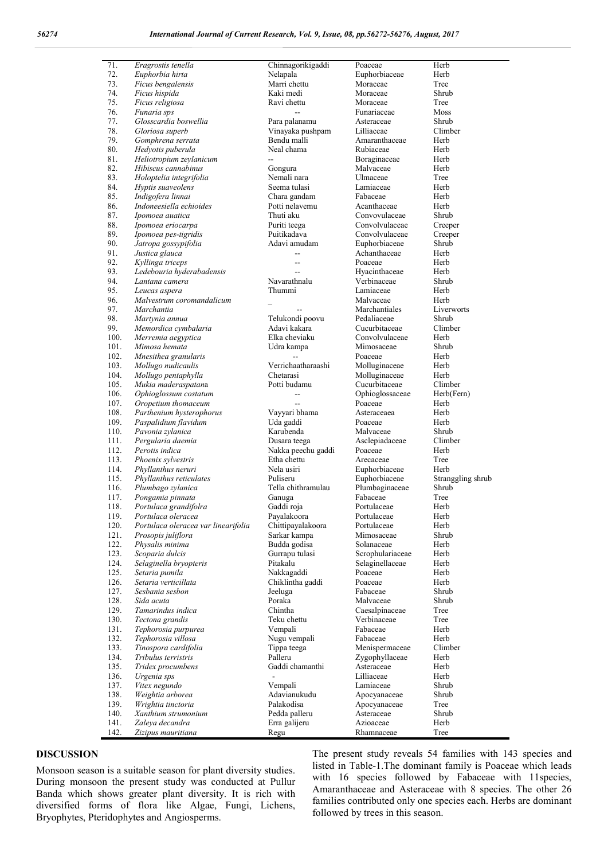| 71.  | Eragrostis tenella                  | Chinnagorikigaddi  | Poaceae          | Herb              |
|------|-------------------------------------|--------------------|------------------|-------------------|
| 72.  | Euphorbia hirta                     | Nelapala           | Euphorbiaceae    | Herb              |
| 73.  | Ficus bengalensis                   | Marri chettu       | Moraceae         | Tree              |
| 74.  | Ficus hispida                       | Kaki medi          | Moraceae         | Shrub             |
| 75.  | Ficus religiosa                     | Ravi chettu        | Moraceae         | Tree              |
| 76.  | Funaria sps                         |                    | Funariaceae      | Moss              |
| 77.  | Glosscardia boswellia               | Para palanamu      | Asteraceae       | Shrub             |
| 78.  | Gloriosa superb                     | Vinayaka pushpam   | Lilliaceae       | Climber           |
| 79.  | Gomphrena serrata                   | Bendu malli        | Amaranthaceae    | Herb              |
| 80.  | Hedyotis puberula                   | Neal chama         | Rubiaceae        | Herb              |
| 81.  | Heliotropium zeylanicum             | $\overline{a}$     | Boraginaceae     | Herb              |
| 82.  | Hibiscus cannabinus                 | Gongura            | Malvaceae        | Herb              |
| 83.  | Holoptelia integrifolia             | Nemali nara        | Ulmaceae         | Tree              |
| 84.  | Hyptis suaveolens                   | Seema tulasi       | Lamiaceae        | Herb              |
| 85.  | Indigofera linnai                   | Chara gandam       | Fabaceae         | Herb              |
| 86.  | Indoneesiella echioides             | Potti nelavemu     | Acanthaceae      | Herb              |
| 87.  | Ipomoea auatica                     | Thuti aku          | Convovulaceae    | Shrub             |
| 88.  | Ipomoea eriocarpa                   | Puriti teega       | Convolvulaceae   | Creeper           |
| 89.  | Ipomoea pes-tigridis                | Puitikadava        | Convolvulaceae   | Creeper           |
| 90.  | Jatropa gossypifolia                | Adavi amudam       | Euphorbiaceae    | Shrub             |
| 91.  | Justica glauca                      | $\overline{a}$     | Achanthaceae     | Herb              |
| 92.  | Kyllinga triceps                    | $\sim$             | Poaceae          | Herb              |
| 93.  | Ledebouria hyderabadensis           | $\overline{a}$     | Hyacinthaceae    | Herb              |
|      |                                     | Navarathnalu       |                  | Shrub             |
| 94.  | Lantana camera                      |                    | Verbinaceae      | Herb              |
| 95.  | Leucas aspera                       | Thummi             | Lamiaceae        |                   |
| 96.  | Malvestrum coromandalicum           |                    | Malvaceae        | Herb              |
| 97.  | Marchantia                          |                    | Marchantiales    | Liverworts        |
| 98.  | Martynia annua                      | Telukondi poovu    | Pedaliaceae      | Shrub             |
| 99.  | Memordica cymbalaria                | Adavi kakara       | Cucurbitaceae    | Climber           |
| 100. | Merremia aegyptica                  | Elka cheviaku      | Convolvulaceae   | Herb              |
| 101. | Mimosa hemata                       | Udra kampa         | Mimosaceae       | Shrub             |
| 102. | Mnesithea granularis                |                    | Poaceae          | Herb              |
| 103. | Mollugo nudicaulis                  | Verrichaatharaashi | Molluginaceae    | Herb              |
| 104. | Mollugo pentaphylla                 | Chetarasi          | Molluginaceae    | Herb              |
| 105. | Mukia maderaspatana                 | Potti budamu       | Cucurbitaceae    | Climber           |
| 106. | Ophioglossum costatum               | $\overline{a}$     | Ophioglossaceae  | Herb(Fern)        |
| 107. | Oropetium thomaceum                 | $\sim$             | Poaceae          | Herb              |
| 108. | Parthenium hysterophorus            | Vayyari bhama      | Asteraceaea      | Herb              |
| 109. | Paspalidium flavidum                | Uda gaddi          | Poaceae          | Herb              |
| 110. | Pavonia zylanica                    | Karubenda          | Malvaceae        | Shrub             |
| 111. | Pergularia daemia                   | Dusara teega       | Asclepiadaceae   | Climber           |
| 112. | Perotis indica                      | Nakka peechu gaddi | Poaceae          | Herb              |
| 113. | Phoenix sylvestris                  | Etha chettu        | Arecaceae        | Tree              |
| 114. | Phyllanthus neruri                  | Nela usiri         | Euphorbiaceae    | Herb              |
| 115. | Phyllanthus reticulates             | Puliseru           | Euphorbiaceae    | Stranggling shrub |
| 116. | Plumbago zylanica                   | Tella chithramulau | Plumbaginaceae   | Shrub             |
| 117. | Pongamia pinnata                    | Ganuga             | Fabaceae         | Tree              |
| 118. | Portulaca grandifolra               | Gaddi roja         | Portulaceae      | Herb              |
| 119. | Portulaca oleracea                  | Payalakoora        | Portulaceae      | Herb              |
| 120. | Portulaca oleracea var linearifolia | Chittipayalakoora  | Portulaceae      | Herb              |
| 121. | Prosopis juliflora                  | Sarkar kampa       | Mimosaceae       | Shrub             |
| 122. | Physalis minima                     | Budda godisa       | Solanaceae       | Herb              |
| 123. | Scoparia dulcis                     | Gurrapu tulasi     | Scrophulariaceae | Herb              |
| 124. | Selaginella bryopteris              | Pitakalu           | Selaginellaceae  | Herb              |
| 125. | Setaria pumila                      | Nakkagaddi         | Poaceae          | Herb              |
| 126. | Setaria verticillata                | Chiklintha gaddi   | Poaceae          | Herb              |
| 127. | Sesbania sesbon                     | Jeeluga            | Fabaceae         | Shrub             |
| 128. | Sida acuta                          | Poraka             | Malvaceae        | Shrub             |
| 129. | Tamarindus indica                   | Chintha            | Caesalpinaceae   | Tree              |
| 130. | Tectona grandis                     | Teku chettu        | Verbinaceae      | Tree              |
| 131. | Tephorosia purpurea                 | Vempali            | Fabaceae         | Herb              |
| 132. | Tephorosia villosa                  | Nugu vempali       | Fabaceae         | Herb              |
| 133. |                                     |                    |                  | Climber           |
|      | Tinospora cardifolia                | Tippa teega        | Menispermaceae   |                   |
| 134. | Tribulus terristris                 | Palleru            | Zygophyllaceae   | Herb              |
| 135. | Tridex procumbens                   | Gaddi chamanthi    | Asteraceae       | Herb              |
| 136. | Urgenia sps                         |                    | Lilliaceae       | Herb              |
| 137. | Vitex negundo                       | Vempali            | Lamiaceae        | Shrub             |
| 138. | Weightia arborea                    | Adavianukudu       | Apocyanaceae     | Shrub             |
| 139. | Wrightia tinctoria                  | Palakodisa         | Apocyanaceae     | Tree              |
| 140. | Xanthium strumonium                 | Pedda palleru      | Asteraceae       | Shrub             |
| 141. | Zaleya decandra                     | Erra galijeru      | Azioaceae        | Herb              |
| 142. | Zizipus mauritiana                  | Regu               | Rhamnaceae       | Tree              |

#### **DISCUSSION**

Monsoon season is a suitable season for plant diversity studies. During monsoon the present study was conducted at Pullur Banda which shows greater plant diversity. It is rich with diversified forms of flora like Algae, Fungi, Lichens, Bryophytes, Pteridophytes and Angiosperms.

The present study reveals 54 families with 143 species and listed in Table-1.The dominant family is Poaceae which leads with 16 species followed by Fabaceae with 11species, Amaranthaceae and Asteraceae with 8 species. The other 26 families contributed only one species each. Herbs are dominant followed by trees in this season.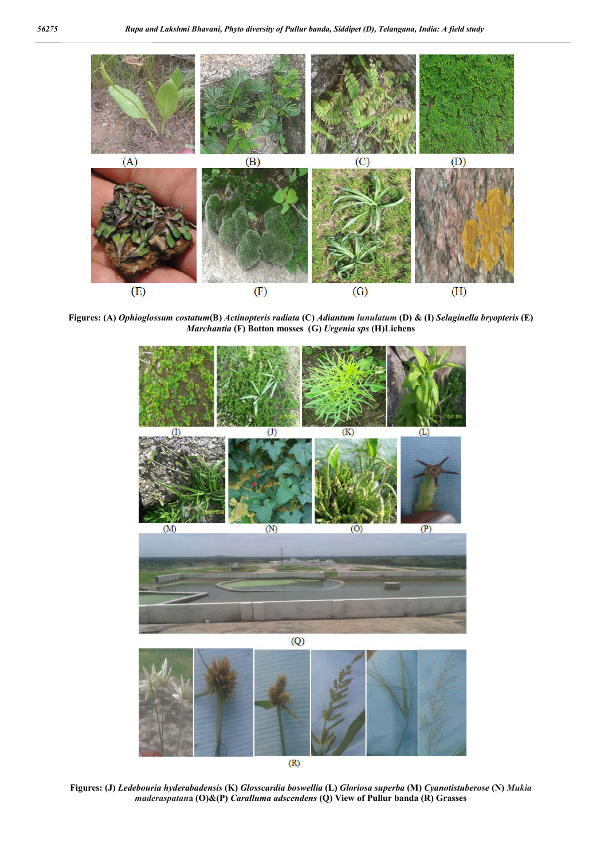

**Figures: (A)** *Ophioglossum costatum***(B)** *Actinopteris radiata* **(C)** *Adiantum lunulatum* **(D) & (I)** *Selaginella bryopteris* **(E)**  *Marchantia* **(F) Botton mosses (G)** *Urgenia sps* **(H)Lichens**



 $(R)$ 

**Figures: (J)** *Ledebouria hyderabadensis* **(K)** *Glosscardia boswellia* **(L)** *Gloriosa superba* **(M)** *Cyanotistuberose* **(N)** *Mukia maderaspatan***a (O)&(P)** *Caralluma adscendens* **(Q) View of Pullur banda (R) Grasses**